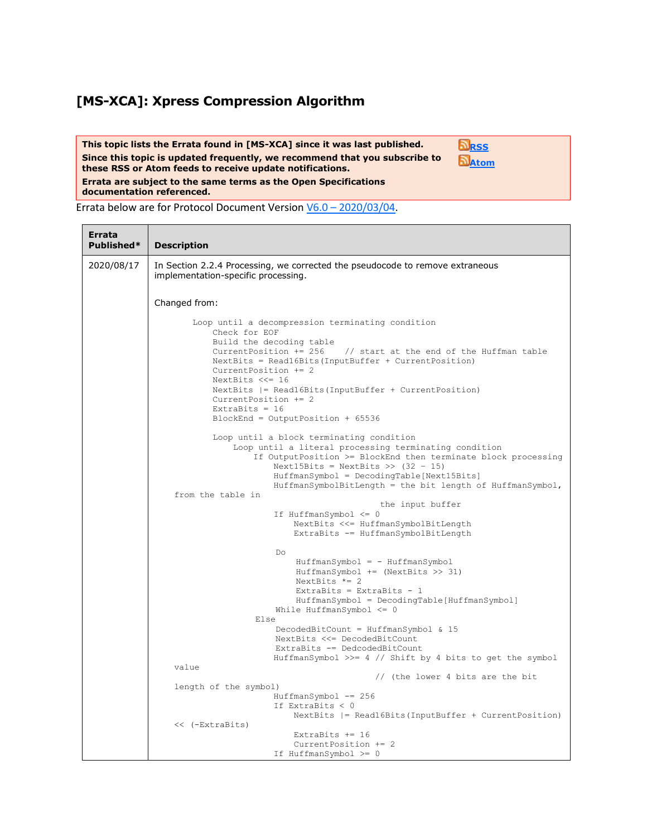## **[MS-XCA]: Xpress Compression Algorithm**

**This topic lists the Errata found in [MS-XCA] since it was last published. Since this topic is updated frequently, we recommend that you subscribe to these RSS or Atom feeds to receive update notifications. Errata are subject to the same terms as the Open Specifications documentation referenced. [RSS](http://blogs.msdn.com/b/protocol_content_errata/rss.aspx) [Atom](http://blogs.msdn.com/b/protocol_content_errata/atom.aspx)**

Errata below are for Protocol Document Version V6.0 – [2020/03/04.](https://docs.microsoft.com/en-us/openspecs/windows_protocols/ms-xca/a8b7cb0a-92a6-4187-a23b-5e14273b96f8)

<u> Isabel a shekara ta 1999</u>

| Errata<br>Published* | <b>Description</b>                                                                                                                                                                                                                                                                                                                                                                                                         |
|----------------------|----------------------------------------------------------------------------------------------------------------------------------------------------------------------------------------------------------------------------------------------------------------------------------------------------------------------------------------------------------------------------------------------------------------------------|
| 2020/08/17           | In Section 2.2.4 Processing, we corrected the pseudocode to remove extraneous<br>implementation-specific processing.                                                                                                                                                                                                                                                                                                       |
|                      | Changed from:                                                                                                                                                                                                                                                                                                                                                                                                              |
|                      | Loop until a decompression terminating condition<br>Check for EOF<br>Build the decoding table<br>CurrentPosition += 256<br>// start at the end of the Huffman table<br>NextBits = Read16Bits(InputBuffer + CurrentPosition)<br>Current Position $+= 2$<br>NextBits $<<=16$<br>NextBits $  =$ Read16Bits (InputBuffer + CurrentPosition)<br>CurrentPosition += 2<br>ExtraBits = $16$<br>$BlockEnd = OutputPosition + 65536$ |
|                      | Loop until a block terminating condition<br>Loop until a literal processing terminating condition<br>If OutputPosition >= BlockEnd then terminate block processing<br>Next15Bits = NextBits >> $(32 - 15)$                                                                                                                                                                                                                 |
|                      | HuffmanSymbol = DecodingTable[Next15Bits]<br>$HuffmanSymbolBitLength = the bit length of HuffmanSymbol,$<br>from the table in                                                                                                                                                                                                                                                                                              |
|                      | the input buffer<br>If HuffmanSymbol $\leq 0$<br>NextBits <<= HuffmanSymbolBitLength<br>ExtraBits -= HuffmanSymbolBitLength                                                                                                                                                                                                                                                                                                |
|                      | Do<br>$HuffmanSymbol = - HuffmanSymbol$<br>$HuffmanSymbol += (NextBits >> 31)$<br>NextBits $*= 2$<br>ExtraBits = ExtraBits - $1$<br>HuffmanSymbol = DecodingTable[HuffmanSymbol]<br>While HuffmanSymbol $\leq 0$                                                                                                                                                                                                           |
|                      | Else<br>DecodedBitCount = HuffmanSymbol & 15<br>NextBits <<= DecodedBitCount<br>ExtraBits -= DedcodedBitCount                                                                                                                                                                                                                                                                                                              |
|                      | HuffmanSymbol >>= 4 // Shift by 4 bits to get the symbol<br>value<br>// (the lower 4 bits are the bit                                                                                                                                                                                                                                                                                                                      |
|                      | length of the symbol)<br>HuffmanSymbol -= 256<br>If ExtraBits $< 0$<br>$NextBits$ = Read16Bits (InputBuffer + CurrentPosition)                                                                                                                                                                                                                                                                                             |
|                      | << (-ExtraBits)<br>Extrabits $+= 16$<br>CurrentPosition += 2<br>If HuffmanSymbol >= 0                                                                                                                                                                                                                                                                                                                                      |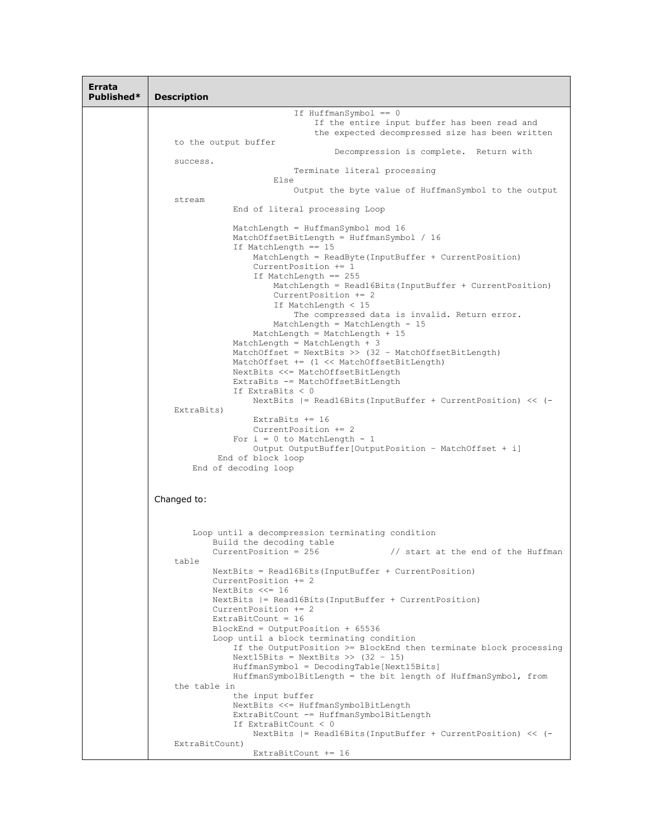| Errata<br>Published* | <b>Description</b>                                                                                                                                                                                                                                                                                                                                                                                                                                                                                                                                                                                                                                                                                                                                                                                                                                                                                                                                                                        |
|----------------------|-------------------------------------------------------------------------------------------------------------------------------------------------------------------------------------------------------------------------------------------------------------------------------------------------------------------------------------------------------------------------------------------------------------------------------------------------------------------------------------------------------------------------------------------------------------------------------------------------------------------------------------------------------------------------------------------------------------------------------------------------------------------------------------------------------------------------------------------------------------------------------------------------------------------------------------------------------------------------------------------|
|                      | If $HuffmanSymbol == 0$                                                                                                                                                                                                                                                                                                                                                                                                                                                                                                                                                                                                                                                                                                                                                                                                                                                                                                                                                                   |
|                      | If the entire input buffer has been read and<br>the expected decompressed size has been written                                                                                                                                                                                                                                                                                                                                                                                                                                                                                                                                                                                                                                                                                                                                                                                                                                                                                           |
|                      | to the output buffer<br>Decompression is complete. Return with                                                                                                                                                                                                                                                                                                                                                                                                                                                                                                                                                                                                                                                                                                                                                                                                                                                                                                                            |
|                      | success.<br>Terminate literal processing                                                                                                                                                                                                                                                                                                                                                                                                                                                                                                                                                                                                                                                                                                                                                                                                                                                                                                                                                  |
|                      | Else<br>Output the byte value of HuffmanSymbol to the output                                                                                                                                                                                                                                                                                                                                                                                                                                                                                                                                                                                                                                                                                                                                                                                                                                                                                                                              |
|                      | stream<br>End of literal processing Loop                                                                                                                                                                                                                                                                                                                                                                                                                                                                                                                                                                                                                                                                                                                                                                                                                                                                                                                                                  |
|                      | MatchLength = HuffmanSymbol mod 16<br>MatchOffsetBitLength = HuffmanSymbol / 16<br>If MatchLength == 15<br>MatchLength = $ReadByte (InputBuffer + CurrentPosition)$<br>Current Position $+= 1$<br>If MatchLength $== 255$<br>$MatchLength = Read16Bits (InputBuffer + CurrentPosition)$<br>CurrentPosition += 2<br>If MatchLength $<$ 15<br>The compressed data is invalid. Return error.<br>MatchLength = MatchLength - $15$<br>MatchLength = MatchLength + $15$<br>MatchLength = MatchLength + $3$<br>MatchOffset = NextBits >> $(32 - MatchOffsetBitLength)$<br>MatchOffset += (1 << MatchOffsetBitLength)<br>NextBits <<= MatchOffsetBitLength<br>ExtraBits -= MatchOffsetBitLength<br>If ExtraBits $< 0$<br>NextBits $ =$ Read16Bits (InputBuffer + CurrentPosition) << $(-)$<br>ExtraBits)<br>ExtraBits $+= 16$<br>Current Position $+= 2$<br>For $i = 0$ to MatchLength - 1<br>Output OutputBuffer [OutputPosition - MatchOffset + i]<br>End of block loop<br>End of decoding loop |
|                      | Changed to:                                                                                                                                                                                                                                                                                                                                                                                                                                                                                                                                                                                                                                                                                                                                                                                                                                                                                                                                                                               |
|                      | Loop until a decompression terminating condition<br>Build the decoding table<br>CurrentPosition = $256$<br>// start at the end of the Huffman<br>table<br>$NextBits = Read16Bits (InputBuffer + CurrentPosition)$<br>Current Position $+= 2$                                                                                                                                                                                                                                                                                                                                                                                                                                                                                                                                                                                                                                                                                                                                              |
|                      | NextBits $<<= 16$<br>NextBits $  =$ Read16Bits (InputBuffer + CurrentPosition)<br>Current Position $+= 2$<br>ExtraBitCount = $16$<br>BlockEnd = OutputPosition + 65536<br>Loop until a block terminating condition<br>If the OutputPosition >= BlockEnd then terminate block processing<br>Next15Bits = NextBits >> $(32 - 15)$<br>HuffmanSymbol = DecodingTable[Next15Bits]<br>HuffmanSymbolBitLength = the bit length of HuffmanSymbol, from<br>the table in<br>the input buffer                                                                                                                                                                                                                                                                                                                                                                                                                                                                                                        |
|                      | NextBits <<= HuffmanSymbolBitLength<br>ExtraBitCount -= HuffmanSymbolBitLength<br>If ExtraBitCount < 0                                                                                                                                                                                                                                                                                                                                                                                                                                                                                                                                                                                                                                                                                                                                                                                                                                                                                    |
|                      | NextBits $ $ = Read16Bits (InputBuffer + CurrentPosition) << $(-$<br>ExtraBitCount)<br>ExtraBitCount $+= 16$                                                                                                                                                                                                                                                                                                                                                                                                                                                                                                                                                                                                                                                                                                                                                                                                                                                                              |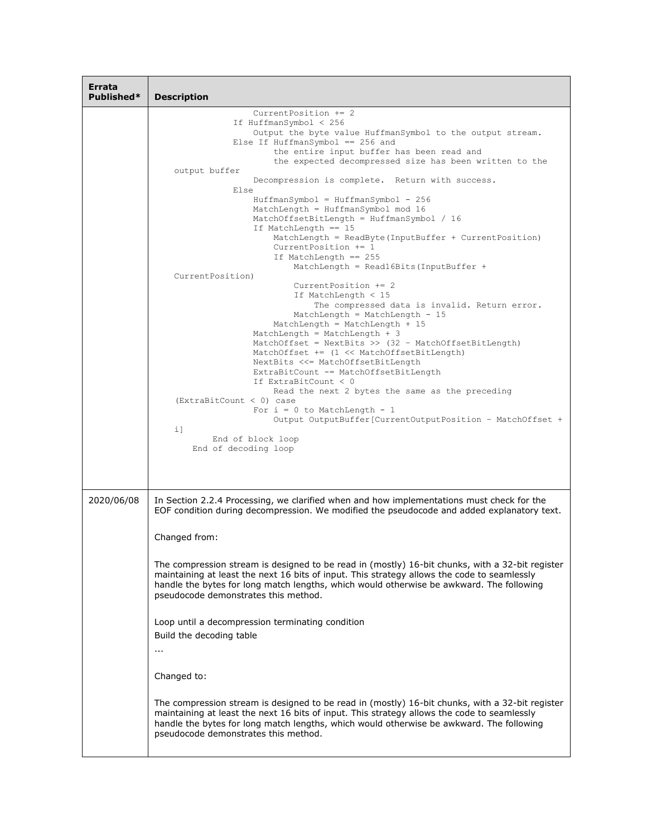| Errata<br>Published* | <b>Description</b>                                                                                                                                                                                                                                                                                                                                                                                                                                                                                                                                                                                                                                                                                                                                                                                                                                                                                                                                                                                                                                                                                                                       |
|----------------------|------------------------------------------------------------------------------------------------------------------------------------------------------------------------------------------------------------------------------------------------------------------------------------------------------------------------------------------------------------------------------------------------------------------------------------------------------------------------------------------------------------------------------------------------------------------------------------------------------------------------------------------------------------------------------------------------------------------------------------------------------------------------------------------------------------------------------------------------------------------------------------------------------------------------------------------------------------------------------------------------------------------------------------------------------------------------------------------------------------------------------------------|
|                      | Current Position $+= 2$<br>If HuffmanSymbol < 256<br>Output the byte value HuffmanSymbol to the output stream.<br>Else If HuffmanSymbol == $256$ and<br>the entire input buffer has been read and                                                                                                                                                                                                                                                                                                                                                                                                                                                                                                                                                                                                                                                                                                                                                                                                                                                                                                                                        |
|                      | the expected decompressed size has been written to the<br>output buffer<br>Decompression is complete. Return with success.<br>Else<br>$HuffmanSymbol = HuffmanSymbol - 256$<br>MatchLength = HuffmanSymbol mod 16<br>MatchOffsetBitLength = HuffmanSymbol / 16<br>If MatchLength $== 15$<br>MatchLength = ReadByte(InputBuffer + CurrentPosition)<br>CurrentPosition $+= 1$<br>If MatchLength == 255<br>MatchLength = Read16Bits (InputBuffer +<br>CurrentPosition)<br>Current Position $+= 2$<br>If MatchLength < 15<br>The compressed data is invalid. Return error.<br>MatchLength = MatchLength - $15$<br>MatchLength = MatchLength + 15<br>MatchLength = MatchLength + $3$<br>MatchOffset = NextBits >> $(32 - \text{MatchOffsetBitLength})$<br>MatchOffset += (1 << MatchOffsetBitLength)<br>NextBits <<= MatchOffsetBitLength<br>ExtraBitCount -= MatchOffsetBitLength<br>If ExtraBitCount < 0<br>Read the next 2 bytes the same as the preceding<br>$(ExtraBitCount < 0)$ case<br>For $i = 0$ to MatchLength - 1<br>Output OutputBuffer[CurrentOutputPosition - MatchOffset +<br>i1<br>End of block loop<br>End of decoding loop |
| 2020/06/08           | In Section 2.2.4 Processing, we clarified when and how implementations must check for the                                                                                                                                                                                                                                                                                                                                                                                                                                                                                                                                                                                                                                                                                                                                                                                                                                                                                                                                                                                                                                                |
|                      | EOF condition during decompression. We modified the pseudocode and added explanatory text.<br>Changed from:<br>The compression stream is designed to be read in (mostly) 16-bit chunks, with a 32-bit register<br>maintaining at least the next 16 bits of input. This strategy allows the code to seamlessly<br>handle the bytes for long match lengths, which would otherwise be awkward. The following<br>pseudocode demonstrates this method.<br>Loop until a decompression terminating condition<br>Build the decoding table<br>$\cdots$<br>Changed to:<br>The compression stream is designed to be read in (mostly) 16-bit chunks, with a 32-bit register<br>maintaining at least the next 16 bits of input. This strategy allows the code to seamlessly                                                                                                                                                                                                                                                                                                                                                                           |
|                      | handle the bytes for long match lengths, which would otherwise be awkward. The following<br>pseudocode demonstrates this method.                                                                                                                                                                                                                                                                                                                                                                                                                                                                                                                                                                                                                                                                                                                                                                                                                                                                                                                                                                                                         |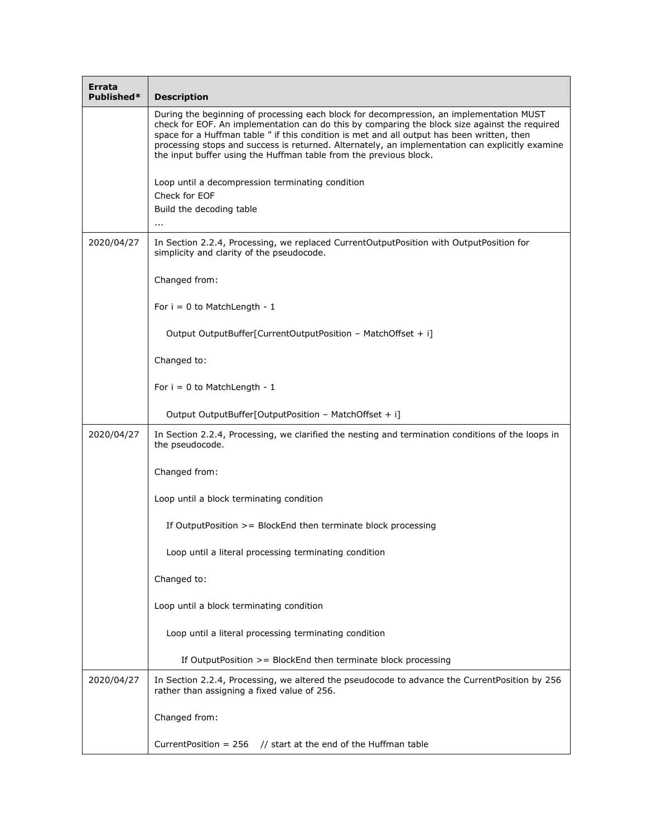| Errata<br>Published* | <b>Description</b>                                                                                                                                                                                                                                                                                                                                                                                                                                             |
|----------------------|----------------------------------------------------------------------------------------------------------------------------------------------------------------------------------------------------------------------------------------------------------------------------------------------------------------------------------------------------------------------------------------------------------------------------------------------------------------|
|                      | During the beginning of processing each block for decompression, an implementation MUST<br>check for EOF. An implementation can do this by comparing the block size against the required<br>space for a Huffman table " if this condition is met and all output has been written, then<br>processing stops and success is returned. Alternately, an implementation can explicitly examine<br>the input buffer using the Huffman table from the previous block. |
|                      | Loop until a decompression terminating condition<br>Check for EOF                                                                                                                                                                                                                                                                                                                                                                                              |
|                      | Build the decoding table<br>$\sim$ $\sim$                                                                                                                                                                                                                                                                                                                                                                                                                      |
| 2020/04/27           | In Section 2.2.4, Processing, we replaced CurrentOutputPosition with OutputPosition for<br>simplicity and clarity of the pseudocode.                                                                                                                                                                                                                                                                                                                           |
|                      | Changed from:                                                                                                                                                                                                                                                                                                                                                                                                                                                  |
|                      | For $i = 0$ to MatchLength - 1                                                                                                                                                                                                                                                                                                                                                                                                                                 |
|                      | Output OutputBuffer[CurrentOutputPosition - MatchOffset + i]                                                                                                                                                                                                                                                                                                                                                                                                   |
|                      | Changed to:                                                                                                                                                                                                                                                                                                                                                                                                                                                    |
|                      | For $i = 0$ to MatchLength - 1                                                                                                                                                                                                                                                                                                                                                                                                                                 |
|                      | Output OutputBuffer[OutputPosition - MatchOffset + i]                                                                                                                                                                                                                                                                                                                                                                                                          |
| 2020/04/27           | In Section 2.2.4, Processing, we clarified the nesting and termination conditions of the loops in<br>the pseudocode.                                                                                                                                                                                                                                                                                                                                           |
|                      | Changed from:                                                                                                                                                                                                                                                                                                                                                                                                                                                  |
|                      | Loop until a block terminating condition                                                                                                                                                                                                                                                                                                                                                                                                                       |
|                      | If Output Position $\geq$ Block End then terminate block processing                                                                                                                                                                                                                                                                                                                                                                                            |
|                      | Loop until a literal processing terminating condition                                                                                                                                                                                                                                                                                                                                                                                                          |
|                      | Changed to:                                                                                                                                                                                                                                                                                                                                                                                                                                                    |
|                      | Loop until a block terminating condition                                                                                                                                                                                                                                                                                                                                                                                                                       |
|                      | Loop until a literal processing terminating condition                                                                                                                                                                                                                                                                                                                                                                                                          |
|                      | If Output Position $>=$ Block End then terminate block processing                                                                                                                                                                                                                                                                                                                                                                                              |
| 2020/04/27           | In Section 2.2.4, Processing, we altered the pseudocode to advance the CurrentPosition by 256<br>rather than assigning a fixed value of 256.                                                                                                                                                                                                                                                                                                                   |
|                      | Changed from:                                                                                                                                                                                                                                                                                                                                                                                                                                                  |
|                      | Current Position = $256$ // start at the end of the Huffman table                                                                                                                                                                                                                                                                                                                                                                                              |